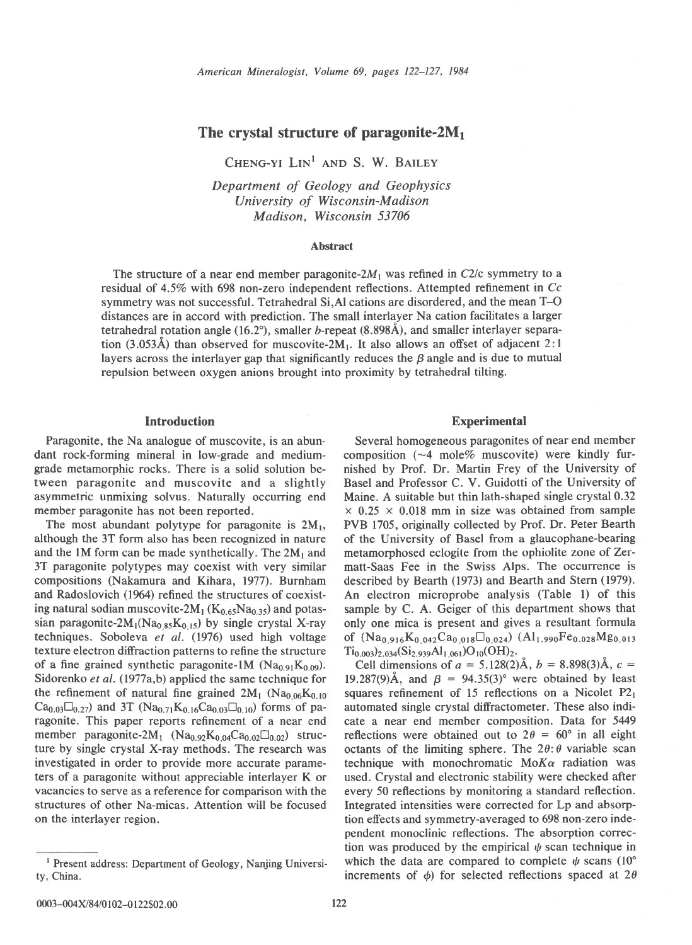# The crystal structure of paragonite- $2M_1$

CHENG-YL  $Lin<sup>1</sup>$  and S. W. BAILEY

Department of Geology and Geophysics University of Wisconsin-Madison Madison, Wisconsin 53706

### Abstract

The structure of a near end member paragonite- $2M_1$  was refined in C2/c symmetry to a residual of 45% with 698 non-zero independent reflections. Attempted refinement in Cc symmetry was not successful. Tetrahedral Si,Al cations are disordered, and the mean T-O distances are in accord with prediction. The small interlayer Na cation facilitates a larger tetrahedral rotation angle  $(16.2^{\circ})$ , smaller b-repeat  $(8.898\text{\AA})$ , and smaller interlayer separation  $(3.053\text{\AA})$  than observed for muscovite-2M<sub>1</sub>. It also allows an offset of adjacent 2:1 layers across the interlayer gap that significantly reduces the  $\beta$  angle and is due to mutual repulsion between oxygen anions brought into proximity by tetrahedral tilting.

### Introduction

Paragonite, the Na analogue of muscovite, is an abundant rock-forming mineral in low-grade and mediumgrade metamorphic rocks. There is a solid solution between paragonite and muscovite and a slightly asymmetric unmixing solvus. Naturally occurring end member paragonite has not been reported.

The most abundant polytype for paragonite is  $2M_1$ , although the 3T form also has been recognized in nature and the 1M form can be made synthetically. The  $2M_1$  and 3T paragonite polytypes may coexist with very similar compositions (Nakamura and Kihara, 1977). Burnham and Radoslovich (1964) refined the structures of coexisting natural sodian muscovite-2 $M_1$  ( $K_{0.65}Na_{0.35}$ ) and potassian paragonite-2 $M_1(Na_{0.85}K_{0.15})$  by single crystal X-ray techniques. Soboleva et al. (1976) used high voltage texture electron diffraction patterns to refine the structure of a fine grained synthetic paragonite-1M (Na<sub>0.91</sub>K<sub>0.09</sub>). Sidorenko et al. (1977a,b) applied the same technique for the refinement of natural fine grained  $2M_1$  (Na<sub>0.06</sub>K<sub>0.10</sub>)  $Ca_{0.03}\Box_{0.27}$ ) and 3T (Na<sub>0.71</sub>K<sub>0.16</sub>Ca<sub>0.03</sub> $\Box_{0.10}$ ) forms of paragonite. This paper reports refinement of a near end member paragonite-2 $M_1$  (Na<sub>0.92</sub>K<sub>0.04</sub>Ca<sub>0.02</sub> $\square_{0.02}$ ) structure by single crystal X-ray methods. The research was investigated in order to provide more accurate parameters of a paragonite without appreciable interlayer K or vacancies to serve as a reference for comparison with the structures of other Na-micas. Attention will be focused on the interlayer region.

#### Experimental

Several homogeneous paragonites of near end member composition  $(-4 \text{ mole% music})$  were kindly furnished by Prof. Dr. Martin Frey of the University of Basel and Professor C. V. Guidotti of the University of Maine. A suitable but thin lath-shaped single crystal 0.32  $\times$  0.25  $\times$  0.018 mm in size was obtained from sample PVB 1705, originally collected by Prof. Dr. Peter Bearth of the University of Basel from a glaucophane-bearing metamorphosed eclogite from the ophiolite zone of Zermatt-Saas Fee in the Swiss Alps. The occurrence is described by Bearth (1973) and Bearth and Stern (1979). An electron microprobe analysis (Table l) of this sample by C. A. Geiger of this department shows that only one mica is present and gives a resultant formula of  $(Na_{0.916}K_{0.042}Ca_{0.018}\Box_{0.024})$   $(Al_{1.990}Fe_{0.028}Mg_{0.013})$  $Ti_{0.003}$ )<sub>2.034</sub> $(Si_{2.939}Al_{1.061})O_{10}(OH)_{2}$ .

Cell dimensions of  $a = 5.128(2)$ Å,  $b = 8.898(3)$ Å,  $c =$ 19.287(9)Å, and  $\beta$  = 94.35(3)° were obtained by least squares refinement of 15 reflections on a Nicolet  $P2<sub>1</sub>$ automated single crystal diffractometer. These also indicate a near end member composition. Data for 5449 reflections were obtained out to  $2\theta = 60^{\circ}$  in all eight octants of the limiting sphere. The  $2\theta$ :  $\theta$  variable scan technique with monochromatic  $M \circ K \alpha$  radiation was used. Crystal and electronic stability were checked after every 50 reflections by monitoring a standard reflection. Integrated intensities were corrected for Lp and absorption effects and symmetry-averaged to 698 non-zero independent monoclinic reflections. The absorption correction was produced by the empirical  $\psi$  scan technique in which the data are compared to complete  $\psi$  scans (10°) increments of  $\phi$ ) for selected reflections spaced at 2 $\theta$ 

Present address: Department of Geology, Nanjing University, China.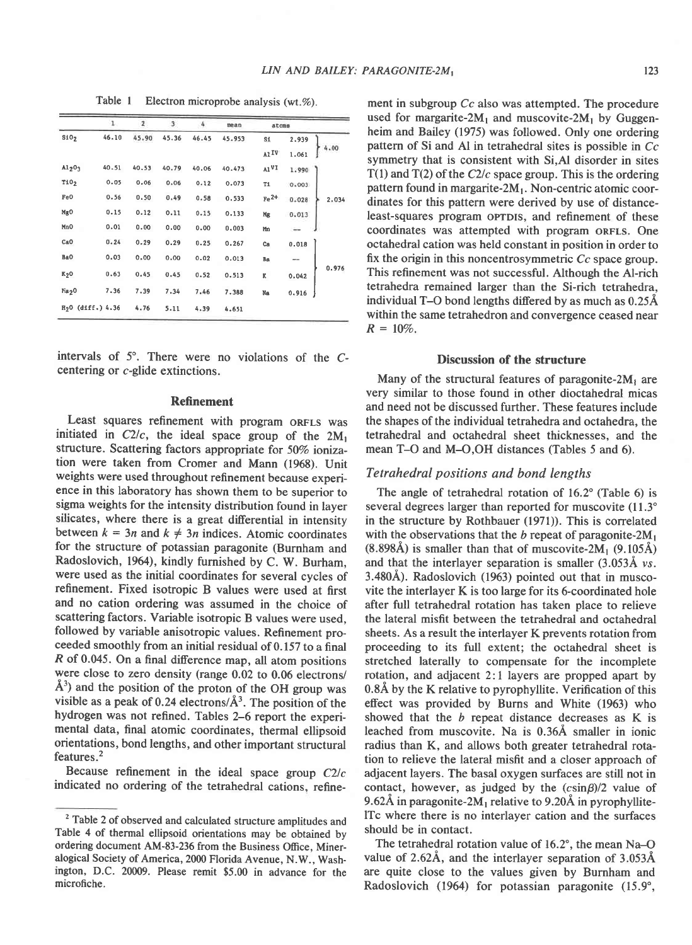|                               | ı.    | $\mathbf{z}$ | 3     | 4     | mean   | atoms            |       |  |       |
|-------------------------------|-------|--------------|-------|-------|--------|------------------|-------|--|-------|
| 510 <sub>2</sub>              | 46.10 | 45.90        | 45.36 | 46.45 | 45.953 | Si               | 2.939 |  |       |
|                               |       |              |       |       |        | AlIV             | 1.061 |  | 4.00  |
| A1203                         | 40.51 | 40.53        | 40.79 | 40.06 | 40.473 | A1 <sup>VI</sup> | 1.990 |  |       |
| T10 <sub>2</sub>              | 0.05  | 0.06         | 0.06  | 0.12  | 0.073  | T1               | 0.003 |  |       |
| Fe0                           | 0.56  | 0.50         | 0.49  | 0.58  | 0.533  | $Fe2+$           | 0.028 |  | 2.034 |
| Mg <sub>0</sub>               | 0.15  | 0.12         | 0.11  | 0.15  | 0.133  | Mg               | 0.013 |  |       |
| Mn <sub>0</sub>               | 0.01  | 0.00         | 0.00  | 0.00  | 0.003  | Mn               |       |  |       |
| CaO                           | 0.24  | 0.29         | 0.29  | 0.25  | 0.267  | Ca               | 0.018 |  |       |
| BaO                           | 0.03  | 0.00         | 0.00  | 0.02  | 0.013  | Ba               | --    |  |       |
| K <sub>2</sub> 0              | 0.63  | 0.45         | 0.45  | 0.52  | 0.513  | ĸ                | 0.042 |  | 0.976 |
| Ma <sub>2</sub> 0             | 7.36  | 7.39         | 7.34  | 7.46  | 7.388  | Na               | 0.916 |  |       |
| H <sub>2</sub> 0 (diff.) 4.36 |       | 4.76         | 5.11  | 4.39  | 4.651  |                  |       |  |       |

intervals of  $5^\circ$ . There were no violations of the  $C$ centering or c-glide extinctions.

#### Refinement

Least squares refinement with program oRFLs was initiated in  $C2/c$ , the ideal space group of the  $2M_1$ structure. Scattering factors appropriate for 50% ionization were taken from Cromer and Mann (1968). Unit weights were used throughout refinement because experience in this laboratory has shown them to be superior to sigma weights for the intensity distribution found in layer silicates, where there is a great differential in intensity between  $k = 3n$  and  $k \neq 3n$  indices. Atomic coordinates for the structure of potassian paragonite (Burnham and Radoslovich, 1964), kindly furnished by C. W. Burham, were used as the initial coordinates for several cycles of refinement. Fixed isotropic B values were used at first and no cation ordering was assumed in the choice of scattering factors. Variable isotropic B values were used, followed by variable anisotropic values. Refinement proceeded smoothly from an initial residual of 0. 157 to a final R of 0.045. On a final difference map, all atom positions were close to zero density (range 0.02 to 0.06 electrons/  $A<sup>3</sup>$ ) and the position of the proton of the OH group was visible as a peak of 0.24 electrons/ $A<sup>3</sup>$ . The position of the hydrogen was not refined. Tables 2-6 report the experimental data, final atomic coordinates, thermal ellipsoid orientations, bond lengths, and other important structural features.2

Because refinement in the ideal space group  $C2/c$ indicated no ordering of the tetrahedral cations, refine-

Table 1 Electron microprobe analysis (wt.%). ment in subgroup  $Cc$  also was attempted. The procedure used for margarite-2 $M_1$  and muscovite-2 $M_1$  by Guggenheim and Bailey (1975) was followed. Only one ordering pattern of Si and Al in tetrahedral sites is possible in Cc symmetry that is consistent with Si,Al disorder in sites  $T(1)$  and  $T(2)$  of the C2/c space group. This is the ordering pattern found in margarite- $2M_1$ . Non-centric atomic coordinates for this pattern were derived by use of distanceleast-squares program oprois, and refinement of these coordinates was attempted with program oRFLS. One octahedral cation was held constant in position in order to fix the origin in this noncentrosymmetric Cc space group. This refinement was not successful. Although the Al-rich tetrahedra remained larger than the Si-rich tetrahedra, individual T-O bond lengths difered by as much as 0.25A within the same tetrahedron and convergence ceased near  $R = 10\%$ .

### Discussion of the structure

Many of the structural features of paragonite- $2M_1$  are very similar to those found in other dioctahedral micas and need not be discussed further. These features include the shapes of the individual tetrahedra and octahedra, the tetrahedral and octahedral sheet thicknesses, and the mean T-O and M-O,OH distances (Tables 5 and 6).

## Tetrahedral positions and bond lengths

The angle of tetrahedral rotation of 16.2° (Table 6) is several degrees larger than reported for muscovite (11.3°) in the structure by Rothbauer (1971)). This is correlated with the observations that the b repeat of paragonite- $2M_1$  $(8.898\text{\AA})$  is smaller than that of muscovite-2M<sub>1</sub>  $(9.105\text{\AA})$ and that the interlayer separation is smaller (3.053A vs. 3.480A). Radoslovich (1963) pointed out that in muscovite the interlayer K is too large for its 6-coordinated hole after full tetrahedral rotation has taken place to relieve the lateral misfit between the tetrahedral and octahedral sheets. As a result the interlayer K prevents rotation from proceeding to its full extent; the octahedral sheet is stretched laterally to compensate for the incomplete rotation, and adjacent 2:1 layers are propped apart by 0.8A by the K relative to pyrophyllite. Verification of this effect was provided by Burns and White (1963) who showed that the b repeat distance decreases as K is leached from muscovite. Na is 0.36A smaller in ionic radius than K, and allows both greater tetrahedral rotation to relieve the lateral misfit and a closer approach of adjacent layers. The basal oxygen surfaces are still not in contact, however, as judged by the  $(c\sin\beta)/2$  value of 9.62Å in paragonite-2 $M_1$  relative to 9.20Å in pyrophyllitelTc where there is no interlayer cation and the surfaces should be in contact.

The tetrahedral rotation value of  $16.2^{\circ}$ , the mean Na–O value of 2.62Å, and the interlayer separation of 3.053Å are quite close to the values given by Burnham and Radoslovich (1964) for potassian paragonite (15.9",

<sup>&</sup>lt;sup>2</sup> Table 2 of observed and calculated structure amplitudes and Table 4 of thermal ellipsoid orientations may be obtained by ordering document AM-83-236 from the Business Office, Mineralogical Society of America, 2000 Florida Avenue, N.W., Washington, D.C. 20009. Please remit \$5.00 in advance for the microfiche.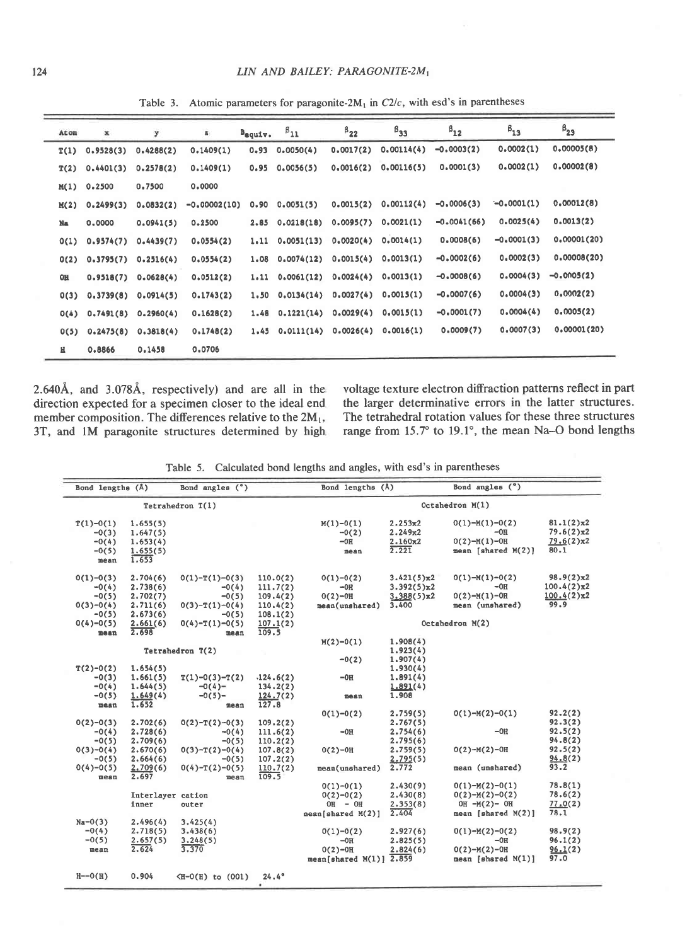Table 3. Atomic parameters for paragonite-2 $M_1$  in C2/c, with esd's in parentheses

| Atom      | ×             | y         | z.             | $B_{\text{equity}}$ . | $P_{11}$            | $B_{22}$  | $B_{33}$   | $B_{12}$      | $\beta_{13}$ | $B_{23}$     |
|-----------|---------------|-----------|----------------|-----------------------|---------------------|-----------|------------|---------------|--------------|--------------|
| T(1)      | 0.9528(3)     | 0.4288(2) | 0.1409(1)      | 0.93                  | 0.0050(4)           | 0.0017(2) | 0.00114(4) | $-0.0003(2)$  | 0.0002(1)    | 0,00005(8)   |
| T(2)      | 0.4401(3)     | 0.2578(2) | 0.1409(1)      | 0.95                  | 0.0056(5)           | 0.0016(2) | 0.00116(5) | 0.0001(3)     | 0.0002(1)    | 0.00002(8)   |
|           | $M(1)$ 0.2500 | 0.7500    | 0.0000         |                       |                     |           |            |               |              |              |
| M(2)      | 0.2499(3)     | 0.0832(2) | $-0.00002(10)$ | 0.90                  | 0.0051(5)           | 0.0015(2) | 0.00112(4) | $-0.0006(3)$  | $-0.0001(1)$ | 0.00012(8)   |
| Na        | 0,0000        | 0.0941(5) | 0.2500         | 2.85                  | 0.0218(18)          | 0.0095(7) | 0,0021(1)  | $-0.0041(66)$ | 0.0025(4)    | 0.0013(2)    |
| O(1)      | 0.9574(7)     | 0.4439(7) | 0.0554(2)      | 1.11                  | 0.0051(13)          | 0.0020(4) | 0.0014(1)  | 0.0008(6)     | $-0.0001(3)$ | 0,00001(20)  |
| 0(2)      | 0.3795(7)     | 0.2516(4) | 0.0554(2)      | 1.08                  | 0.0074(12)          | 0.0015(4) | 0.0013(1)  | $-0.0002(6)$  | 0.0002(3)    | 0.00008(20)  |
| <b>OH</b> | 0.9518(7)     | 0.0628(4) | 0.0512(2)      | 1.11                  | 0.0061(12)          | 0.0024(4) | 0.0013(1)  | $-0.0008(6)$  | 0.0004(3)    | $-0.0005(2)$ |
| O(3)      | 0.3739(8)     | 0.0914(5) | 0.1743(2)      | 1.50                  | 0.0134(14)          | 0.0027(4) | 0.0015(1)  | $-0.0007(6)$  | 0.0004(3)    | 0.0002(2)    |
| O(4)      | 0.7491(8)     | 0.2960(4) | 0.1628(2)      |                       | $1.48$ $0.1221(14)$ | 0.0029(4) | 0.0015(1)  | $-0.0001(7)$  | 0.0004(4)    | 0.0005(2)    |
| 0(5)      | 0.2475(8)     | 0.3818(4) | 0.1748(2)      |                       | 1.45 0.0111(14)     | 0.0026(4) | 0.0016(1)  | 0.0009(7)     | 0.0007(3)    | 0.00001(20)  |
| н         | 0.8866        | 0.1458    | 0.0706         |                       |                     |           |            |               |              |              |

2.640Å, and 3.078Å, respectively) and are all in the direction expected for a specimen closer to the ideal end member composition. The differences relative to the  $2M_1$ , 3T, and lM paragonite structures determined by high

voltage texture electron diffraction patterns reflect in part the larger determinative errors in the latter structures. The tetrahedral rotation values for these three structures range from 15.7° to 19.1°, the mean Na-O bond lengths

Table 5. Calculated bond lengths and angles, with esd's in parentheses

| Bond angles $(°)$<br>Bond lengths (Å) |                   |                                                                                           | Bond lengths (Å) |                            | Bond angles (°)     |                    |                    |  |  |
|---------------------------------------|-------------------|-------------------------------------------------------------------------------------------|------------------|----------------------------|---------------------|--------------------|--------------------|--|--|
|                                       |                   | Tetrahedron $T(1)$                                                                        |                  | Octahedron M(1)            |                     |                    |                    |  |  |
| $T(1)-0(1)$                           | 1.655(5)          |                                                                                           |                  | $M(1)-O(1)$                | 2.253x2             | $0(1)-M(1)-0(2)$   | $81.1(2) \times 2$ |  |  |
| $-0(3)$                               | 1.647(5)          |                                                                                           |                  | $-0(2)$                    | 2.249x2             | $-0H$              | 79.6(2)x2          |  |  |
| $-0(4)$                               | 1.653(4)          |                                                                                           |                  | $-0H$                      | 2.160x2             | $0(2)-M(1)-0H$     | 79.6(2)x2          |  |  |
| $-0(5)$                               | 1.655(5)          |                                                                                           |                  | mean                       | 2,221               | mean [shared M(2)] | 80.1               |  |  |
| mean                                  | 1.653             |                                                                                           |                  |                            |                     |                    |                    |  |  |
| $0(1)-0(3)$                           | 2.704(6)          | $0(1)-T(1)-0(3)$                                                                          | 110.0(2)         | $0(1)-0(2)$                | $3.421(5) \times 2$ | $0(1)-M(1)-0(2)$   | 98.9(2)x2          |  |  |
| $-0(4)$                               | 2.738(6)          | $-0(4)$                                                                                   | 111.7(2)         | $-OR$                      | $3.392(5) \times 2$ | $-OH$              | $100.4(2)\pi2$     |  |  |
| $-0(5)$                               | 2.702(7)          | $-0(5)$                                                                                   | 109.4(2)         | $0(2)-0H$                  | $3.388(5) \times 2$ | $O(2)-M(1)-OR$     | 100.4(2)x2         |  |  |
| $0(3)-0(4)$                           | 2.711(6)          | $O(3)-T(1)-O(4)$                                                                          | 110.4(2)         | mean(unshared)             | 3,400               | mean (unshared)    | 99.9               |  |  |
| $-0(5)$                               | 2.673(6)          | $-0(5)$                                                                                   | 108.1(2)         |                            |                     |                    |                    |  |  |
| $0(4)-0(5)$                           | 2.661(6)          | $0(4)-T(1)-0(5)$                                                                          | 107.1(2)         |                            |                     | Octahedron M(2)    |                    |  |  |
| mean                                  | 2.698             | mean                                                                                      | 109.5            |                            |                     |                    |                    |  |  |
|                                       |                   |                                                                                           |                  | $M(2)-O(1)$                | 1.908(4)            |                    |                    |  |  |
|                                       |                   | Tetrahedron T(2)                                                                          |                  |                            | 1.923(4)            |                    |                    |  |  |
|                                       |                   |                                                                                           |                  | $-0(2)$                    | 1.907(4)            |                    |                    |  |  |
| $T(2)-0(2)$                           | 1.654(5)          |                                                                                           |                  |                            | 1.930(4)            |                    |                    |  |  |
| $-0(3)$                               | 1.661(5)          | $T(1)-0(3)-T(2)$                                                                          | .124.6(2)        | $-0H$                      | 1.891(4)            |                    |                    |  |  |
| $-0(4)$                               | 1.644(5)          | $-0(4)-$                                                                                  | 134.2(2)         |                            | 1.891(4)            |                    |                    |  |  |
| $-0(5)$                               | 1.649(4)          | $-0(5)-$                                                                                  | 124.7(2)         | mean                       | 1.908               |                    |                    |  |  |
| mean                                  | 1.652             | mean                                                                                      | 127.8            |                            |                     |                    |                    |  |  |
|                                       |                   |                                                                                           |                  | $0(1)-0(2)$                | 2.759(5)            | $0(1)-M(2)-0(1)$   | 92.2(2)            |  |  |
| $0(2)-0(3)$                           | 2.702(6)          | $0(2)-T(2)-0(3)$                                                                          | 109.2(2)         |                            | 2.767(5)            |                    | 92.3(2)            |  |  |
| $-0(4)$                               | 2,728(6)          | $-0(4)$                                                                                   | 111.6(2)         | $-OH$                      | 2.754(6)            | $-OH$              | 92.5(2)            |  |  |
| $-0(5)$                               | 2.709(6)          | $-0(5)$                                                                                   | 110.2(2)         |                            | 2.795(6)            |                    | 94.8(2)            |  |  |
| $0(3)-0(4)$                           | 2.670(6)          | $0(3)-T(2)-0(4)$                                                                          | 107.8(2)         | $0(2)-0H$                  | 2.759(5)            | $O(2)-M(2)-OH$     | 92.5(2)            |  |  |
| $-0(5)$                               | 2.664(6)          | $-0(5)$                                                                                   | 107.2(2)         |                            | 2.795(5)            |                    | 94.8(2)            |  |  |
| $0(4)-0(5)$                           | 2.709(6)          | $0(4)-T(2)-0(5)$                                                                          | 110.7(2)         | mean(unshared)             | 2.772               | mean (unshared)    | 93.2               |  |  |
| mean                                  | 2.697             | mean                                                                                      | 109.5            |                            |                     |                    |                    |  |  |
|                                       |                   |                                                                                           |                  | $0(1)-0(1)$                | 2.430(9)            | $0(1)-M(2)-0(1)$   | 78.8(1)            |  |  |
|                                       | Interlayer cation |                                                                                           |                  | $0(2)-0(2)$                | 2.430(8)            | $0(2)-M(2)-0(2)$   | 78.6(2)            |  |  |
|                                       | inner             | outer                                                                                     |                  | $OH - OH$                  | 2.353(8)            | OH $-M(2)-OH$      | 77.0(2)            |  |  |
|                                       |                   |                                                                                           |                  | mean[shared M(2)]          | 2.404               | mean [shared M(2)] | 78.1               |  |  |
| $Na - O(3)$                           | 2.496(4)          | 3.425(4)                                                                                  |                  |                            |                     |                    |                    |  |  |
| $-0(4)$                               | 2.718(5)          | 3.438(6)                                                                                  |                  | $0(1)-0(2)$                | 2.927(6)            | $0(1)-M(2)-0(2)$   | 98.9(2)            |  |  |
| $-0(5)$                               | 2.657(5)          | 3,248(5)                                                                                  |                  | $-0H$                      | 2.825(5)            | $-0H$              | 96.1(2)            |  |  |
| mean                                  | 2.624             | 3.370                                                                                     |                  | $0(2)-0H$                  | 2.824(6)            | $0(2)-M(2)-0H$     | 96.1(2)            |  |  |
|                                       |                   |                                                                                           |                  | mean[shared $M(1)$ ] 2.859 |                     | mean [shared M(1)] | 97.0               |  |  |
| $H--O(H)$                             | 0.904             | <h-0(h) (001)<="" td="" to=""><td>24.4°</td><td></td><td></td><td></td><td></td></h-0(h)> | 24.4°            |                            |                     |                    |                    |  |  |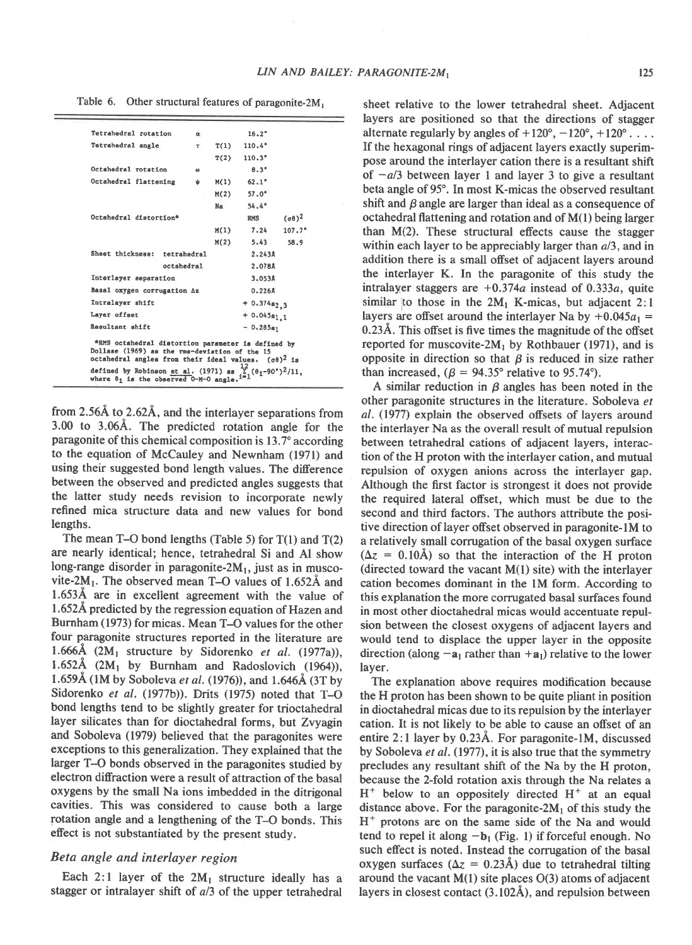| Tetrahedral rotation                                                                                                                                                     | œ   |           | 16.2°            |                     |
|--------------------------------------------------------------------------------------------------------------------------------------------------------------------------|-----|-----------|------------------|---------------------|
| Tetrahedral angle                                                                                                                                                        | τ   | T(1)      | $110.4^{\circ}$  |                     |
|                                                                                                                                                                          |     | T(2)      | 110.3°           |                     |
| Octahedral rotation                                                                                                                                                      | as. |           | $8.3^{\circ}$    |                     |
| Octahedral flattening                                                                                                                                                    | ψ   | M(1)      | $62.1^{\circ}$   |                     |
|                                                                                                                                                                          |     | M(2)      | $57.0^{\circ}$   |                     |
|                                                                                                                                                                          |     | <b>Na</b> | 54.4°            |                     |
| Octahedral distortion*                                                                                                                                                   |     |           | <b>RMS</b>       | $(\sigma \theta)^2$ |
|                                                                                                                                                                          |     | M(1)      | 7.24             | $107.7^{\circ}$     |
|                                                                                                                                                                          |     | M(2)      | 5.43             | 58.9                |
| Sheet thickness:<br>tetrahedral                                                                                                                                          |     |           | 2.243A           |                     |
| octahedral                                                                                                                                                               |     |           | 2.0788           |                     |
| Interlayer separation                                                                                                                                                    |     |           | 3.053Å           |                     |
| Basal oxygen corrugation Az                                                                                                                                              |     |           | $0.226$ Å        |                     |
| Intralayer shift                                                                                                                                                         |     |           | $+0.374a_{2,3}$  |                     |
| Layer offset                                                                                                                                                             |     |           | $+ 0.045a_{1.1}$ |                     |
| Resultant shift                                                                                                                                                          |     |           | $-0.285a_1$      |                     |
| *RMS octahedral distortion parameter is defined by<br>Dollase (1969) as the rms-deviation of the 15<br>octahedral angles from their ideal values. $(\sigma \theta)^2$ is |     |           |                  |                     |
| defined by Robinson et al. (1971) as $\frac{12}{15}$ , $(\theta_1 - 90^{\circ})^2/11$ ,<br>where $\theta_1$ is the observed 0-M-0 angle. $i=1$                           |     |           |                  |                     |

from  $2.56\text{\AA}$  to  $2.62\text{\AA}$ , and the interlayer separations from 3.fi) to 3.064. The predicted rotation angle for the paragonite of this chemical composition is 13.7" according to the equation of McCauley and Newnham (1971) and using their suggested bond length values. The diference between the observed and predicted angles suggests that the latter study needs revision to incorporate newly refined mica structure data and new values for bond lengths.

The mean T-O bond lengths (Table 5) for  $T(1)$  and  $T(2)$ are nearly identical; hence, tetrahedral Si and Al show long-range disorder in paragonite- $2M_1$ , just as in muscovite-2 $M_1$ . The observed mean T-O values of 1.652 $\AA$  and 1.6534 are in excellent agreement with the value of 1.652Å predicted by the regression equation of Hazen and Burnham (1973) for micas. Mean T-O values for the other four paragonite structures reported in the literature are 1.666A  $(2M_1$  structure by Sidorenko *et al.* (1977a)), 1.652Å  $(2M_1$  by Burnham and Radoslovich  $(1964)$ ), 1.659Å (1M by Soboleva et al. (1976)), and 1.646Å (3T by Sidorenko et al. (1977b)). Drits (1975) noted that T-O bond lengths tend to be slightly greater for trioctahedral layer silicates than for dioctahedral forms, but Zvyagin and Soboleva (1979) believed that the paragonites were exceptions to this generalization. They explained that the larger T-O bonds observed in the paragonites studied by electron difraction were a result of attraction of the basal oxygens by the small Na ions imbedded in the ditrigonal cavities. This was considered to cause both a large fotation angle and a lengthening of the T-O bonds. This effect is not substantiated by the present study.

## Beta angle and interlayer region

Each 2:1 layer of the  $2M_1$  structure ideally has a stagger or intralayer shift of a/3 of the upper tetrahedral

Table 6. Other structural features of paragonite- $2M_1$  sheet relative to the lower tetrahedral sheet. Adjacent layers are positioned so that the directions of stagger alternate regularly by angles of  $+120^{\circ}, -120^{\circ}, +120^{\circ}$ ... If the hexagonal rings of adjacent layers exactly superimpose around the interlayer cation there is a resultant shift of  $-a/3$  between layer 1 and layer 3 to give a resultant beta angle of 95'. In most K-micas the observed resultant shift and  $\beta$  angle are larger than ideal as a consequence of octahedral flattening and rotation and of M(1) being larger than M(2). These structural effects cause the stagger within each layer to be appreciably larger than  $a/3$ , and in addition there is a small offset of adjacent layers around the interlayer K. In the paragonite of this study the intralayer staggers are  $+0.374a$  instead of 0.333a, quite similar to those in the  $2M_1$  K-micas, but adjacent 2:1 layers are offset around the interlayer Na by  $+0.045a_1 =$ 0.23A. This offset is five times the magnitude of the offset reported for muscovite-2 $M_1$  by Rothbauer (1971), and is opposite in direction so that  $\beta$  is reduced in size rather than increased,  $(\beta = 94.35^{\circ}$  relative to 95.74°).

> A similar reduction in  $\beta$  angles has been noted in the other paragonite structures in the literature. Soboleva et al. (1977) explain the observed offsets of layers around the interlayer Na as the overall result of mutual repulsion between tetrahedral cations of adjacent layers, interaction of the H proton with the interlayer cation, and mutual repulsion of oxygen anions across the interlayer gap. Although the first factor is strongest it does not provide the required lateral ofiset, which must be due to the second and third factors. The authors attribute the positive direction of layer offset observed in paragonite-1M to a relatively small corrugation of the basal oxygen surface  $(\Delta z = 0.10\text{\AA})$  so that the interaction of the H proton (directed toward the vacant  $M(1)$  site) with the interlayer cation becomes dominant in the lM form. According to this explanation the more corrugated basal surfaces found in most other dioctahedral micas would accentuate repulsion between the closest oxygens of adjacent layers and would tend to displace the upper layer in the opposite direction (along  $-a_1$  rather than  $+a_1$ ) relative to the lower layer.

> The explanation above requires modification because the H proton has been shown to be quite pliant in position in dioctahedral micas due to its repulsion by the interlayer cation. It is not likely to be able to cause an offset of an entire 2:1 layer by 0.23Å. For paragonite-1M, discussed by Soboleva *et al.* (1977), it is also true that the symmetry precludes any resultant shift of the Na by the H proton, because the 2-fold rotation axis through the Na relates a  $H^+$  below to an oppositely directed  $H^+$  at an equal distance above. For the paragonite- $2M_1$  of this study the  $H<sup>+</sup>$  protons are on the same side of the Na and would tend to repel it along  $-b_1$  (Fig. 1) if forceful enough. No such effect is noted. Instead the corrugation of the basal oxygen surfaces ( $\Delta z = 0.23$ Å) due to tetrahedral tilting around the vacant  $M(1)$  site places  $O(3)$  atoms of adjacent layers in closest contact (3.102A), and repulsion between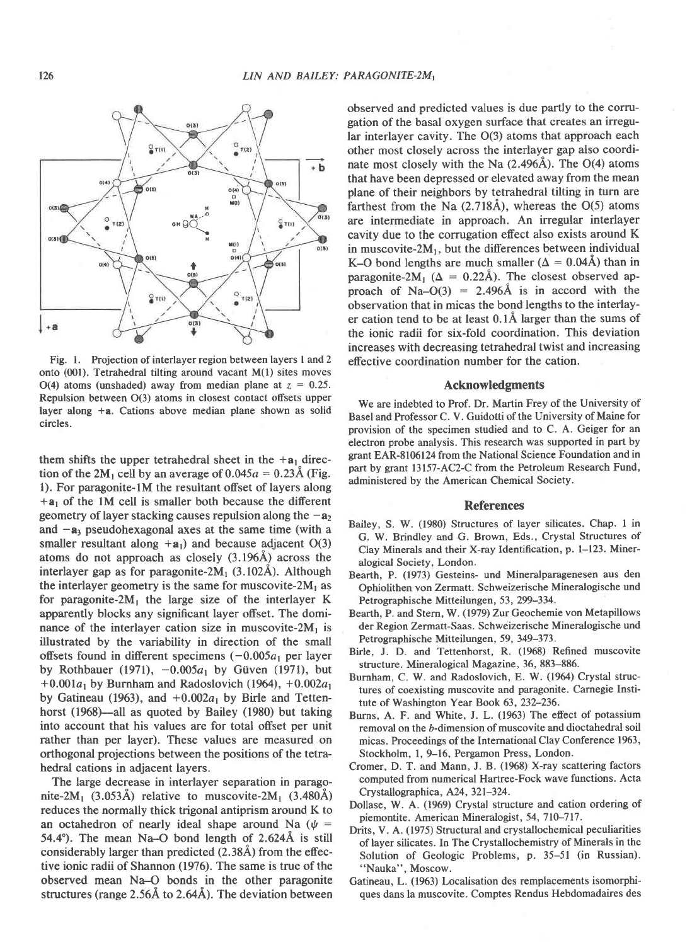

Fig. 1. Projection of interlayer region between layers 1 and 2 onto (001). Tetrahedral tilting around vacant M(1) sites moves O(4) atoms (unshaded) away from median plane at  $z = 0.25$ . Repulsion between O(3) atoms in closest contact offsets upper layer along  $+a$ . Cations above median plane shown as solid circles.

them shifts the upper tetrahedral sheet in the  $+a_1$  direction of the 2M<sub>1</sub> cell by an average of  $0.045a = 0.23\text{\AA}$  (Fig. 1). For paragonite-1M the resultant offset of layers along  $+a_1$  of the 1M cell is smaller both because the different geometry of layer stacking causes repulsion along the  $-a_2$ and  $-a_3$  pseudohexagonal axes at the same time (with a smaller resultant along  $+a_1$ ) and because adjacent O(3) atoms do not approach as closely (3.1964) across the interlayer gap as for paragonite-2 $M_1$  (3.102Å). Although the interlayer geometry is the same for muscovite- $2M_1$  as for paragonite- $2M_1$  the large size of the interlayer K apparently blocks any significant layer offset. The dominance of the interlayer cation size in muscovite- $2M_1$  is illustrated by the variability in direction of the small offsets found in different specimens  $(-0.005a_1)$  per layer by Rothbauer (1971),  $-0.005a_1$  by Güven (1971), but  $+0.001a_1$  by Burnham and Radoslovich (1964),  $+0.002a_1$ by Gatineau (1963), and  $+0.002a_1$  by Birle and Tettenhorst (1968)—all as quoted by Bailey (1980) but taking into account that his values are for total offset per unit rather than per layer). These values are measured on orthogonal projections between the positions of the tetrahedral cations in adjacent layers.

The large decrease in interlayer separation in paragonite-2M<sub>1</sub> (3.053Å) relative to muscovite-2M<sub>1</sub> (3.480Å) reduces the normally thick trigonal antiprism around K to an octahedron of nearly ideal shape around Na ( $\psi$  = 54.4°). The mean Na–O bond length of  $2.624\text{\AA}$  is still considerably larger than predicted  $(2.38\text{\AA})$  from the effective ionic radii of Shannon (1976). The same is true of the observed mean Na-O bonds in the other paragonite structures (range  $2.56\text{\AA}$  to  $2.64\text{\AA}$ ). The deviation between observed and predicted values is due partly to the corrugation of the basal oxygen surface that creates an irregular interlayer cavity. The O(3) atoms that approach each other most closely across the interlay^er gap also coordinate most closely with the Na  $(2.496\text{\AA})$ . The O(4) atoms that have been depressed or elevated away from the mean plane of their neighbors by tetrahedral tilting in turn are farthest from the Na  $(2.718\text{\AA})$ , whereas the O(5) atoms are intermediate in approach. An irregular interlayer cavity due to the corrugation effect also exists around K in muscovite- $2M_1$ , but the differences between individual K-O bond lengths are much smaller ( $\Delta = 0.04$ Å) than in paragonite-2M<sub>1</sub> ( $\Delta = 0.22\text{\AA}$ ). The closest observed approach of Na- $O(3)$  = 2.496Å is in accord with the observation that in micas the bond lengths to the interlayer cation tend to be at least 0.lA larger than the sums of the ionic radii for six-fold coordination. This deviation increases with decreasing tetrahedral twist and increasing efective coordination number for the cation.

#### Acknowledgments

We are indebted to Prof. Dr. Martin Frey of the University of Basel and Professor C. V. Guidotti of the University of Maine for provision of the specimen studied and to C. A. Geiger for an electron probe analysis. This research was supported in part by grant EAR-E106124 from the National Science Foundation and in part by grant 13157-AC2-C from the Petroleum Research Fund, administered by the American Chemical Society.

#### **References**

- Bailey, S. W. (1980) Structures of layer silicates. Chap. I in G. W. Brindley and G. Brown, Eds., Crystal Structures of Clay Minerals and their X-ray Identification, p. 1-123. Mineralogical Society, London.
- Bearth, P. (1973) Gesteins- und Mineralparagenesen aus den Ophiolithen von Zermatt. Schweizerische Mineralogische und Petrographische Mitteilungen, 53, 299-334.
- Bearth, P. and Stern, W. (1979) Zur Geochemie von Metapillows der Region Zermatt-Saas. Schweizerische Mineralogische und Petrographische Mitteilungen, 59, 349–373.
- Birle, J. D. and Tettenhorst, R. (1968) Refined muscovite structure. Mineralogical Magazine, 36, 883-886.
- Burnham, C. W. and Radoslovich, E. W. (1964) Crystal structures of coexisting muscovite and paragonite. Carnegie Institute of Washington Year Book 63, 232-236.
- Burns, A. F. and White, J. L. (1963) The efiect of potassium removal on the b-dimension of muscovite and dioctahedral soil micas. Proceedings of the International Clay Conference 1963, Stockholm, 1, 9-16, Pergamon Press, London.
- Cromer, D. T. and Mann, J. B. (1968) X-ray scattering factors computed from numerical Hartree-Fock wave functions. Acta Crystallographica, A24, 321-324.
- Dollase, W. A. (1969) Crystal structure and cation ordering of piemontite. American Mineralogist, 54, 710-717.
- Drits, V. A. (1975) Structural and crystallochemical peculiarities of layer silicates. In The Crystallochemistry of Minerals in the Solution of Geologic Problems, p. 35-51 (in Russian). "Nauka", Moscow.
- Gatineau, L. (1963) Localisation des remplacements isomorphiques dans la muscovite. Comptes Rendus Hebdomadaires des